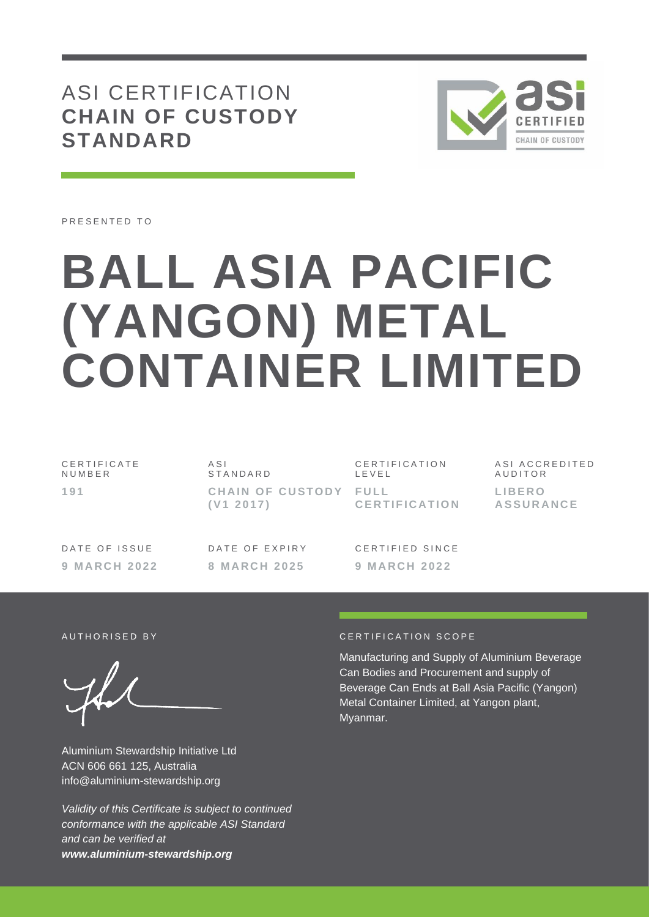# ASI CERTIFICATION **CHAIN OF CUSTODY STANDARD**



PRESENTED TO

# **BALL ASIA PACIFIC (YANGON) METAL CONTAINER LIMITED**

| CERTIFICATE | ASI                                | CERTIFICATION | ASI ACCREDITED             |
|-------------|------------------------------------|---------------|----------------------------|
| NUMBER      | STANDARD                           | LEVEL         | AUDITOR                    |
| 191         | CHAIN OF CUSTODY FULL<br>(V1 2017) | CERTIFICATION | LIBERO<br><b>ASSURANCE</b> |

DATE OF ISSUE **9 M A R C H 2 0 2 2** DATE OF EXPIRY **8 M A R C H 2 0 2 5**

C F R T I F I F D S I N C F **9 M A R C H 2 0 2 2**

Aluminium Stewardship Initiative Ltd ACN 606 661 125, Australia info@aluminium-stewardship.org

*Validity of this Certificate is subject to continued conformance with the applicable ASI Standard and can be verified at www.aluminium-stewardship.org*

#### A UTHORISED BY CERTIFICATION SCOPE

Manufacturing and Supply of Aluminium Beverage Can Bodies and Procurement and supply of Beverage Can Ends at Ball Asia Pacific (Yangon) Metal Container Limited, at Yangon plant, Myanmar.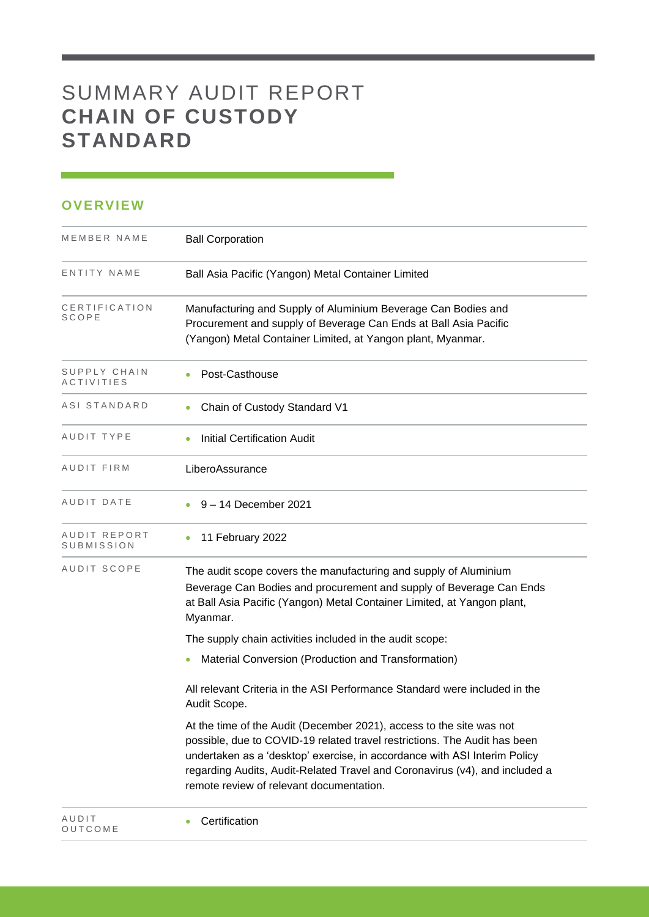# SUMMARY AUDIT REPORT **CHAIN OF CUSTODY STANDARD**

### **OVERVIEW**

| MEMBER NAME                       | <b>Ball Corporation</b>                                                                                                                                                                                                                                                                                                                                   |
|-----------------------------------|-----------------------------------------------------------------------------------------------------------------------------------------------------------------------------------------------------------------------------------------------------------------------------------------------------------------------------------------------------------|
| ENTITY NAME                       | Ball Asia Pacific (Yangon) Metal Container Limited                                                                                                                                                                                                                                                                                                        |
| CERTIFICATION<br>SCOPE            | Manufacturing and Supply of Aluminium Beverage Can Bodies and<br>Procurement and supply of Beverage Can Ends at Ball Asia Pacific<br>(Yangon) Metal Container Limited, at Yangon plant, Myanmar.                                                                                                                                                          |
| SUPPLY CHAIN<br><i>ACTIVITIES</i> | Post-Casthouse                                                                                                                                                                                                                                                                                                                                            |
| ASI STANDARD                      | Chain of Custody Standard V1                                                                                                                                                                                                                                                                                                                              |
| AUDIT TYPE                        | <b>Initial Certification Audit</b><br>$\bullet$                                                                                                                                                                                                                                                                                                           |
| AUDIT FIRM                        | LiberoAssurance                                                                                                                                                                                                                                                                                                                                           |
| AUDIT DATE                        | 9 – 14 December 2021                                                                                                                                                                                                                                                                                                                                      |
| AUDIT REPORT<br>SUBMISSION        | 11 February 2022                                                                                                                                                                                                                                                                                                                                          |
| AUDIT SCOPE                       | The audit scope covers the manufacturing and supply of Aluminium<br>Beverage Can Bodies and procurement and supply of Beverage Can Ends<br>at Ball Asia Pacific (Yangon) Metal Container Limited, at Yangon plant,<br>Myanmar.                                                                                                                            |
|                                   | The supply chain activities included in the audit scope:                                                                                                                                                                                                                                                                                                  |
|                                   | Material Conversion (Production and Transformation)<br>٠                                                                                                                                                                                                                                                                                                  |
|                                   | All relevant Criteria in the ASI Performance Standard were included in the<br>Audit Scope.                                                                                                                                                                                                                                                                |
|                                   | At the time of the Audit (December 2021), access to the site was not<br>possible, due to COVID-19 related travel restrictions. The Audit has been<br>undertaken as a 'desktop' exercise, in accordance with ASI Interim Policy<br>regarding Audits, Audit-Related Travel and Coronavirus (v4), and included a<br>remote review of relevant documentation. |
| AUDIT<br>OUTCOME                  | Certification                                                                                                                                                                                                                                                                                                                                             |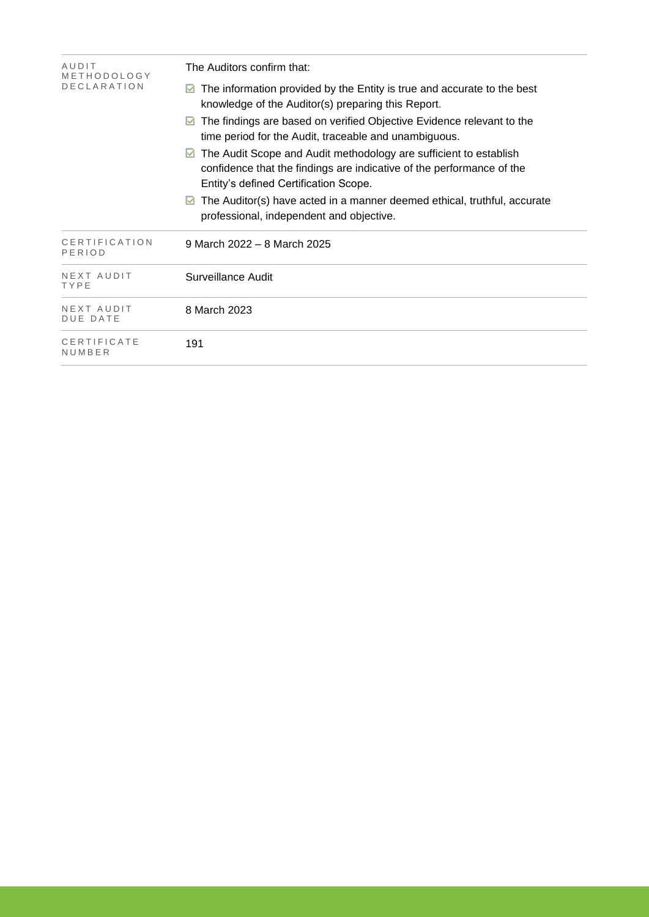| AUDIT<br>METHODOLOGY          | The Auditors confirm that:                                                                                                                                                               |  |  |  |
|-------------------------------|------------------------------------------------------------------------------------------------------------------------------------------------------------------------------------------|--|--|--|
| <b>DECLARATION</b>            | The information provided by the Entity is true and accurate to the best<br>M<br>knowledge of the Auditor(s) preparing this Report.                                                       |  |  |  |
|                               | The findings are based on verified Objective Evidence relevant to the<br>M<br>time period for the Audit, traceable and unambiguous.                                                      |  |  |  |
|                               | The Audit Scope and Audit methodology are sufficient to establish<br>M<br>confidence that the findings are indicative of the performance of the<br>Entity's defined Certification Scope. |  |  |  |
|                               | The Auditor(s) have acted in a manner deemed ethical, truthful, accurate<br>M<br>professional, independent and objective.                                                                |  |  |  |
| CERTIFICATION<br>PERIOD       | 9 March 2022 - 8 March 2025                                                                                                                                                              |  |  |  |
| NEXT AUDIT<br>TYPE            | Surveillance Audit                                                                                                                                                                       |  |  |  |
| NEXT AUDIT<br><b>DUE DATE</b> | 8 March 2023                                                                                                                                                                             |  |  |  |
| CERTIFICATE<br>NUMBER         | 191                                                                                                                                                                                      |  |  |  |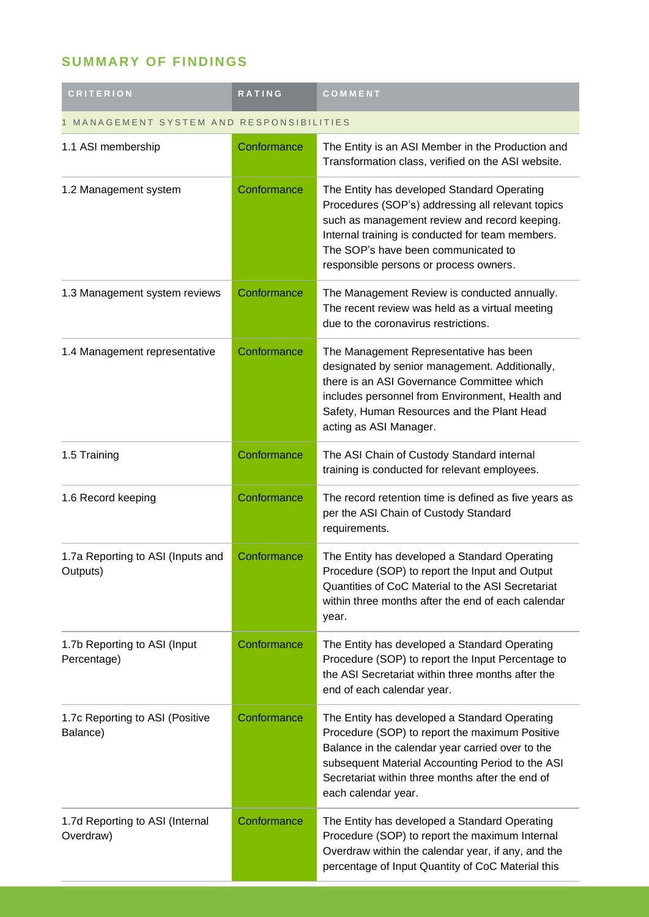## **SUMMARY OF FINDINGS**

| <b>CRITERION</b>                              | RATING      | COMMENT                                                                                                                                                                                                                                                                                |  |  |
|-----------------------------------------------|-------------|----------------------------------------------------------------------------------------------------------------------------------------------------------------------------------------------------------------------------------------------------------------------------------------|--|--|
| MANAGEMENT SYSTEM AND RESPONSIBILITIES        |             |                                                                                                                                                                                                                                                                                        |  |  |
| 1.1 ASI membership                            | Conformance | The Entity is an ASI Member in the Production and<br>Transformation class, verified on the ASI website.                                                                                                                                                                                |  |  |
| 1.2 Management system                         | Conformance | The Entity has developed Standard Operating<br>Procedures (SOP's) addressing all relevant topics<br>such as management review and record keeping.<br>Internal training is conducted for team members.<br>The SOP's have been communicated to<br>responsible persons or process owners. |  |  |
| 1.3 Management system reviews                 | Conformance | The Management Review is conducted annually.<br>The recent review was held as a virtual meeting<br>due to the coronavirus restrictions.                                                                                                                                                |  |  |
| 1.4 Management representative                 | Conformance | The Management Representative has been<br>designated by senior management. Additionally,<br>there is an ASI Governance Committee which<br>includes personnel from Environment, Health and<br>Safety, Human Resources and the Plant Head<br>acting as ASI Manager.                      |  |  |
| 1.5 Training                                  | Conformance | The ASI Chain of Custody Standard internal<br>training is conducted for relevant employees.                                                                                                                                                                                            |  |  |
| 1.6 Record keeping                            | Conformance | The record retention time is defined as five years as<br>per the ASI Chain of Custody Standard<br>requirements.                                                                                                                                                                        |  |  |
| 1.7a Reporting to ASI (Inputs and<br>Outputs) | Conformance | The Entity has developed a Standard Operating<br>Procedure (SOP) to report the Input and Output<br>Quantities of CoC Material to the ASI Secretariat<br>within three months after the end of each calendar<br>year.                                                                    |  |  |
| 1.7b Reporting to ASI (Input<br>Percentage)   | Conformance | The Entity has developed a Standard Operating<br>Procedure (SOP) to report the Input Percentage to<br>the ASI Secretariat within three months after the<br>end of each calendar year.                                                                                                  |  |  |
| 1.7c Reporting to ASI (Positive<br>Balance)   | Conformance | The Entity has developed a Standard Operating<br>Procedure (SOP) to report the maximum Positive<br>Balance in the calendar year carried over to the<br>subsequent Material Accounting Period to the ASI<br>Secretariat within three months after the end of<br>each calendar year.     |  |  |
| 1.7d Reporting to ASI (Internal<br>Overdraw)  | Conformance | The Entity has developed a Standard Operating<br>Procedure (SOP) to report the maximum Internal<br>Overdraw within the calendar year, if any, and the<br>percentage of Input Quantity of CoC Material this                                                                             |  |  |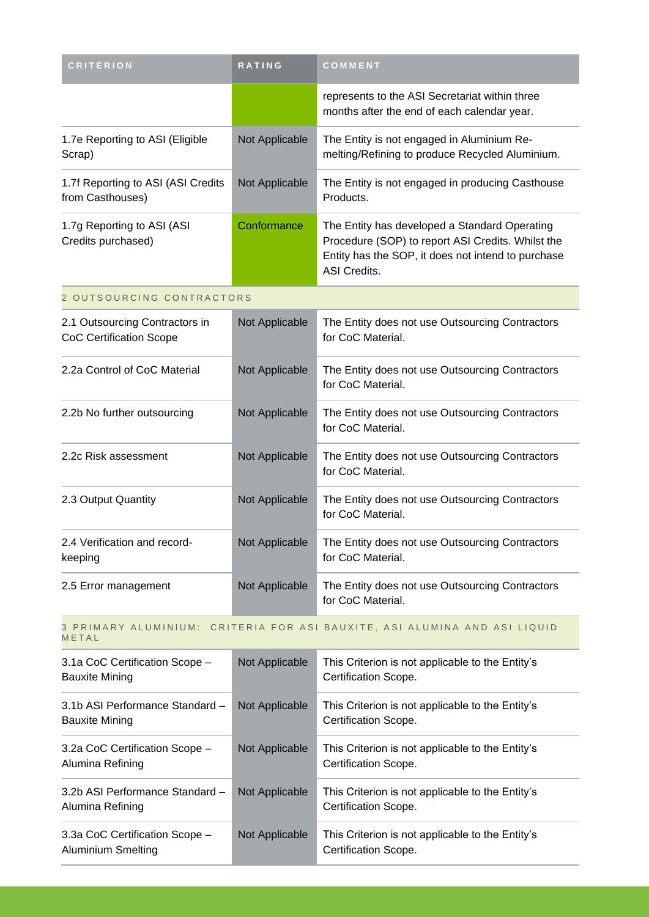| <b>CRITERION</b>                                                                   | RATING         | COMMENT                                                                                                                                                                  |
|------------------------------------------------------------------------------------|----------------|--------------------------------------------------------------------------------------------------------------------------------------------------------------------------|
|                                                                                    |                | represents to the ASI Secretariat within three<br>months after the end of each calendar year.                                                                            |
| 1.7e Reporting to ASI (Eligible<br>Scrap)                                          | Not Applicable | The Entity is not engaged in Aluminium Re-<br>melting/Refining to produce Recycled Aluminium.                                                                            |
| 1.7f Reporting to ASI (ASI Credits<br>from Casthouses)                             | Not Applicable | The Entity is not engaged in producing Casthouse<br>Products.                                                                                                            |
| 1.7g Reporting to ASI (ASI<br>Credits purchased)                                   | Conformance    | The Entity has developed a Standard Operating<br>Procedure (SOP) to report ASI Credits. Whilst the<br>Entity has the SOP, it does not intend to purchase<br>ASI Credits. |
| 2 OUTSOURCING CONTRACTORS                                                          |                |                                                                                                                                                                          |
| 2.1 Outsourcing Contractors in<br><b>CoC Certification Scope</b>                   | Not Applicable | The Entity does not use Outsourcing Contractors<br>for CoC Material.                                                                                                     |
| 2.2a Control of CoC Material                                                       | Not Applicable | The Entity does not use Outsourcing Contractors<br>for CoC Material.                                                                                                     |
| 2.2b No further outsourcing                                                        | Not Applicable | The Entity does not use Outsourcing Contractors<br>for CoC Material.                                                                                                     |
| 2.2c Risk assessment                                                               | Not Applicable | The Entity does not use Outsourcing Contractors<br>for CoC Material.                                                                                                     |
| 2.3 Output Quantity                                                                | Not Applicable | The Entity does not use Outsourcing Contractors<br>for CoC Material.                                                                                                     |
| 2.4 Verification and record-<br>keeping                                            | Not Applicable | The Entity does not use Outsourcing Contractors<br>for CoC Material.                                                                                                     |
| 2.5 Error management                                                               | Not Applicable | The Entity does not use Outsourcing Contractors<br>for CoC Material.                                                                                                     |
| 3 PRIMARY ALUMINIUM: CRITERIA FOR ASI BAUXITE, ASI ALUMINA AND ASI LIQUID<br>METAL |                |                                                                                                                                                                          |
| 3.1a CoC Certification Scope -<br><b>Bauxite Mining</b>                            | Not Applicable | This Criterion is not applicable to the Entity's<br>Certification Scope.                                                                                                 |
| 3.1b ASI Performance Standard -<br><b>Bauxite Mining</b>                           | Not Applicable | This Criterion is not applicable to the Entity's<br>Certification Scope.                                                                                                 |
| 3.2a CoC Certification Scope -<br>Alumina Refining                                 | Not Applicable | This Criterion is not applicable to the Entity's<br>Certification Scope.                                                                                                 |
| 3.2b ASI Performance Standard -<br>Alumina Refining                                | Not Applicable | This Criterion is not applicable to the Entity's<br>Certification Scope.                                                                                                 |
| 3.3a CoC Certification Scope -<br>Aluminium Smelting                               | Not Applicable | This Criterion is not applicable to the Entity's<br>Certification Scope.                                                                                                 |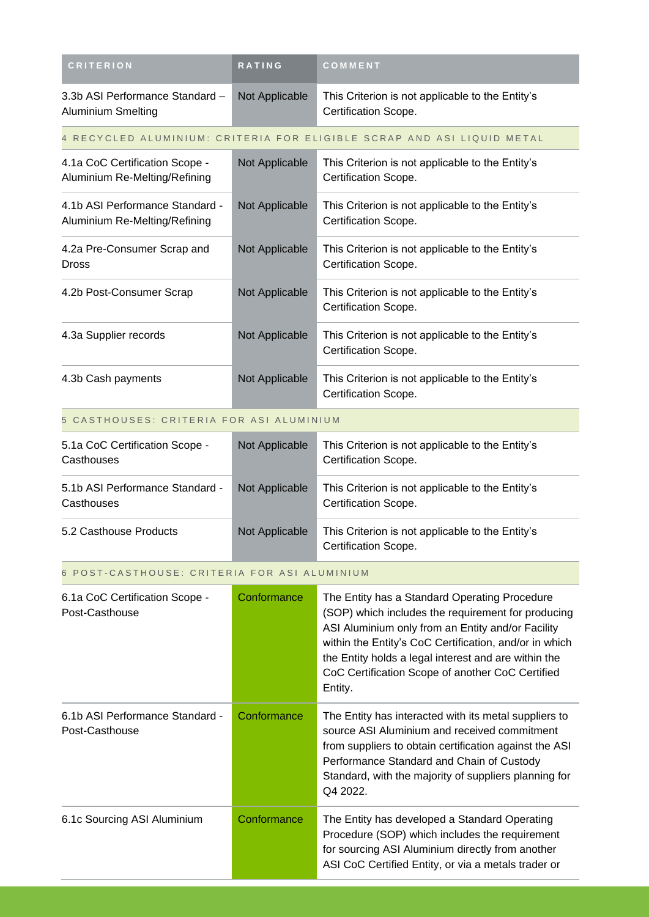| <b>CRITERION</b>                                                 | RATING         | COMMENT                                                                                                                                                                                                                                                                                                                                   |
|------------------------------------------------------------------|----------------|-------------------------------------------------------------------------------------------------------------------------------------------------------------------------------------------------------------------------------------------------------------------------------------------------------------------------------------------|
| 3.3b ASI Performance Standard -<br><b>Aluminium Smelting</b>     | Not Applicable | This Criterion is not applicable to the Entity's<br>Certification Scope.                                                                                                                                                                                                                                                                  |
|                                                                  |                | 4 RECYCLED ALUMINIUM: CRITERIA FOR ELIGIBLE SCRAP AND ASI LIQUID METAL                                                                                                                                                                                                                                                                    |
| 4.1a CoC Certification Scope -<br>Aluminium Re-Melting/Refining  | Not Applicable | This Criterion is not applicable to the Entity's<br>Certification Scope.                                                                                                                                                                                                                                                                  |
| 4.1b ASI Performance Standard -<br>Aluminium Re-Melting/Refining | Not Applicable | This Criterion is not applicable to the Entity's<br>Certification Scope.                                                                                                                                                                                                                                                                  |
| 4.2a Pre-Consumer Scrap and<br><b>Dross</b>                      | Not Applicable | This Criterion is not applicable to the Entity's<br>Certification Scope.                                                                                                                                                                                                                                                                  |
| 4.2b Post-Consumer Scrap                                         | Not Applicable | This Criterion is not applicable to the Entity's<br>Certification Scope.                                                                                                                                                                                                                                                                  |
| 4.3a Supplier records                                            | Not Applicable | This Criterion is not applicable to the Entity's<br>Certification Scope.                                                                                                                                                                                                                                                                  |
| 4.3b Cash payments                                               | Not Applicable | This Criterion is not applicable to the Entity's<br>Certification Scope.                                                                                                                                                                                                                                                                  |
| 5 CASTHOUSES: CRITERIA FOR ASI ALUMINIUM                         |                |                                                                                                                                                                                                                                                                                                                                           |
| 5.1a CoC Certification Scope -<br>Casthouses                     | Not Applicable | This Criterion is not applicable to the Entity's<br>Certification Scope.                                                                                                                                                                                                                                                                  |
| 5.1b ASI Performance Standard -<br>Casthouses                    | Not Applicable | This Criterion is not applicable to the Entity's<br>Certification Scope.                                                                                                                                                                                                                                                                  |
| 5.2 Casthouse Products                                           | Not Applicable | This Criterion is not applicable to the Entity's<br>Certification Scope.                                                                                                                                                                                                                                                                  |
| 6 POST-CASTHOUSE: CRITERIA FOR ASI ALUMINIUM                     |                |                                                                                                                                                                                                                                                                                                                                           |
| 6.1a CoC Certification Scope -<br>Post-Casthouse                 | Conformance    | The Entity has a Standard Operating Procedure<br>(SOP) which includes the requirement for producing<br>ASI Aluminium only from an Entity and/or Facility<br>within the Entity's CoC Certification, and/or in which<br>the Entity holds a legal interest and are within the<br>CoC Certification Scope of another CoC Certified<br>Entity. |
| 6.1b ASI Performance Standard -<br>Post-Casthouse                | Conformance    | The Entity has interacted with its metal suppliers to<br>source ASI Aluminium and received commitment<br>from suppliers to obtain certification against the ASI<br>Performance Standard and Chain of Custody<br>Standard, with the majority of suppliers planning for<br>Q4 2022.                                                         |
| 6.1c Sourcing ASI Aluminium                                      | Conformance    | The Entity has developed a Standard Operating<br>Procedure (SOP) which includes the requirement<br>for sourcing ASI Aluminium directly from another<br>ASI CoC Certified Entity, or via a metals trader or                                                                                                                                |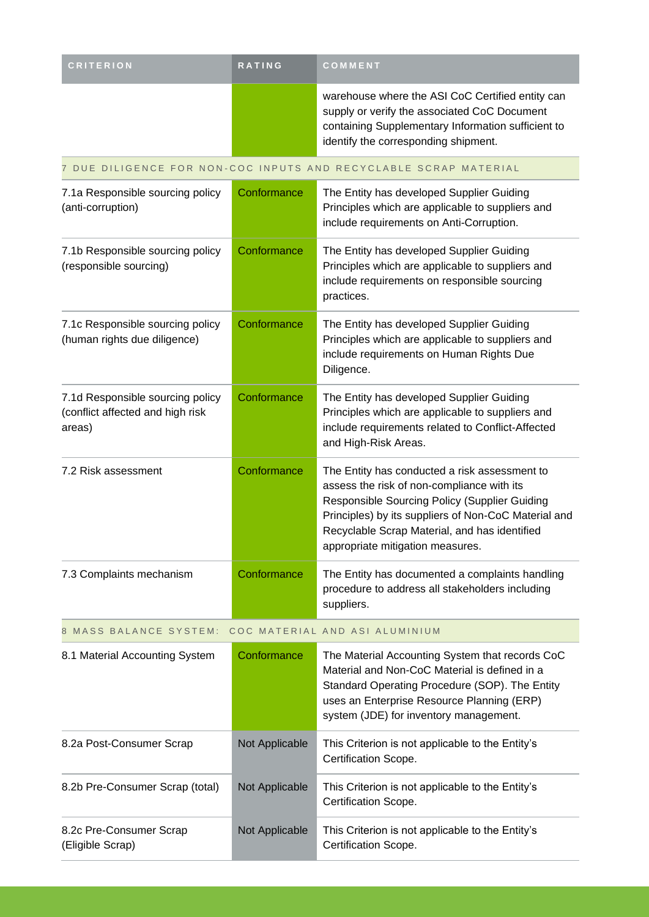| <b>CRITERION</b>                                                               | <b>RATING</b>  | COMMENT                                                                                                                                                                                                                                                                                   |
|--------------------------------------------------------------------------------|----------------|-------------------------------------------------------------------------------------------------------------------------------------------------------------------------------------------------------------------------------------------------------------------------------------------|
|                                                                                |                | warehouse where the ASI CoC Certified entity can<br>supply or verify the associated CoC Document<br>containing Supplementary Information sufficient to<br>identify the corresponding shipment.                                                                                            |
|                                                                                |                | 7 DUE DILIGENCE FOR NON-COC INPUTS AND RECYCLABLE SCRAP MATERIAL                                                                                                                                                                                                                          |
| 7.1a Responsible sourcing policy<br>(anti-corruption)                          | Conformance    | The Entity has developed Supplier Guiding<br>Principles which are applicable to suppliers and<br>include requirements on Anti-Corruption.                                                                                                                                                 |
| 7.1b Responsible sourcing policy<br>(responsible sourcing)                     | Conformance    | The Entity has developed Supplier Guiding<br>Principles which are applicable to suppliers and<br>include requirements on responsible sourcing<br>practices.                                                                                                                               |
| 7.1c Responsible sourcing policy<br>(human rights due diligence)               | Conformance    | The Entity has developed Supplier Guiding<br>Principles which are applicable to suppliers and<br>include requirements on Human Rights Due<br>Diligence.                                                                                                                                   |
| 7.1d Responsible sourcing policy<br>(conflict affected and high risk<br>areas) | Conformance    | The Entity has developed Supplier Guiding<br>Principles which are applicable to suppliers and<br>include requirements related to Conflict-Affected<br>and High-Risk Areas.                                                                                                                |
| 7.2 Risk assessment                                                            | Conformance    | The Entity has conducted a risk assessment to<br>assess the risk of non-compliance with its<br>Responsible Sourcing Policy (Supplier Guiding<br>Principles) by its suppliers of Non-CoC Material and<br>Recyclable Scrap Material, and has identified<br>appropriate mitigation measures. |
| 7.3 Complaints mechanism                                                       | Conformance    | The Entity has documented a complaints handling<br>procedure to address all stakeholders including<br>suppliers.                                                                                                                                                                          |
| 8 MASS BALANCE SYSTEM:                                                         |                | COC MATERIAL AND ASI ALUMINIUM                                                                                                                                                                                                                                                            |
| 8.1 Material Accounting System                                                 | Conformance    | The Material Accounting System that records CoC<br>Material and Non-CoC Material is defined in a<br>Standard Operating Procedure (SOP). The Entity<br>uses an Enterprise Resource Planning (ERP)<br>system (JDE) for inventory management.                                                |
| 8.2a Post-Consumer Scrap                                                       | Not Applicable | This Criterion is not applicable to the Entity's<br>Certification Scope.                                                                                                                                                                                                                  |
| 8.2b Pre-Consumer Scrap (total)                                                | Not Applicable | This Criterion is not applicable to the Entity's<br>Certification Scope.                                                                                                                                                                                                                  |
| 8.2c Pre-Consumer Scrap<br>(Eligible Scrap)                                    | Not Applicable | This Criterion is not applicable to the Entity's<br>Certification Scope.                                                                                                                                                                                                                  |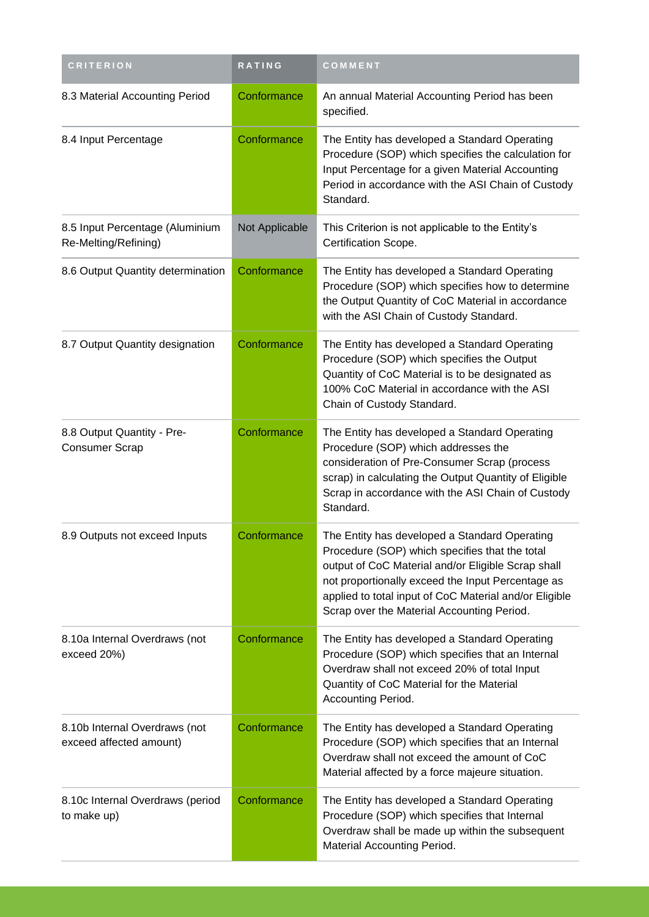| <b>CRITERION</b>                                         | RATING         | COMMENT                                                                                                                                                                                                                                                                                                            |
|----------------------------------------------------------|----------------|--------------------------------------------------------------------------------------------------------------------------------------------------------------------------------------------------------------------------------------------------------------------------------------------------------------------|
| 8.3 Material Accounting Period                           | Conformance    | An annual Material Accounting Period has been<br>specified.                                                                                                                                                                                                                                                        |
| 8.4 Input Percentage                                     | Conformance    | The Entity has developed a Standard Operating<br>Procedure (SOP) which specifies the calculation for<br>Input Percentage for a given Material Accounting<br>Period in accordance with the ASI Chain of Custody<br>Standard.                                                                                        |
| 8.5 Input Percentage (Aluminium<br>Re-Melting/Refining)  | Not Applicable | This Criterion is not applicable to the Entity's<br>Certification Scope.                                                                                                                                                                                                                                           |
| 8.6 Output Quantity determination                        | Conformance    | The Entity has developed a Standard Operating<br>Procedure (SOP) which specifies how to determine<br>the Output Quantity of CoC Material in accordance<br>with the ASI Chain of Custody Standard.                                                                                                                  |
| 8.7 Output Quantity designation                          | Conformance    | The Entity has developed a Standard Operating<br>Procedure (SOP) which specifies the Output<br>Quantity of CoC Material is to be designated as<br>100% CoC Material in accordance with the ASI<br>Chain of Custody Standard.                                                                                       |
| 8.8 Output Quantity - Pre-<br><b>Consumer Scrap</b>      | Conformance    | The Entity has developed a Standard Operating<br>Procedure (SOP) which addresses the<br>consideration of Pre-Consumer Scrap (process<br>scrap) in calculating the Output Quantity of Eligible<br>Scrap in accordance with the ASI Chain of Custody<br>Standard.                                                    |
| 8.9 Outputs not exceed Inputs                            | Conformance    | The Entity has developed a Standard Operating<br>Procedure (SOP) which specifies that the total<br>output of CoC Material and/or Eligible Scrap shall<br>not proportionally exceed the Input Percentage as<br>applied to total input of CoC Material and/or Eligible<br>Scrap over the Material Accounting Period. |
| 8.10a Internal Overdraws (not<br>exceed 20%)             | Conformance    | The Entity has developed a Standard Operating<br>Procedure (SOP) which specifies that an Internal<br>Overdraw shall not exceed 20% of total Input<br>Quantity of CoC Material for the Material<br>Accounting Period.                                                                                               |
| 8.10b Internal Overdraws (not<br>exceed affected amount) | Conformance    | The Entity has developed a Standard Operating<br>Procedure (SOP) which specifies that an Internal<br>Overdraw shall not exceed the amount of CoC<br>Material affected by a force majeure situation.                                                                                                                |
| 8.10c Internal Overdraws (period<br>to make up)          | Conformance    | The Entity has developed a Standard Operating<br>Procedure (SOP) which specifies that Internal<br>Overdraw shall be made up within the subsequent<br>Material Accounting Period.                                                                                                                                   |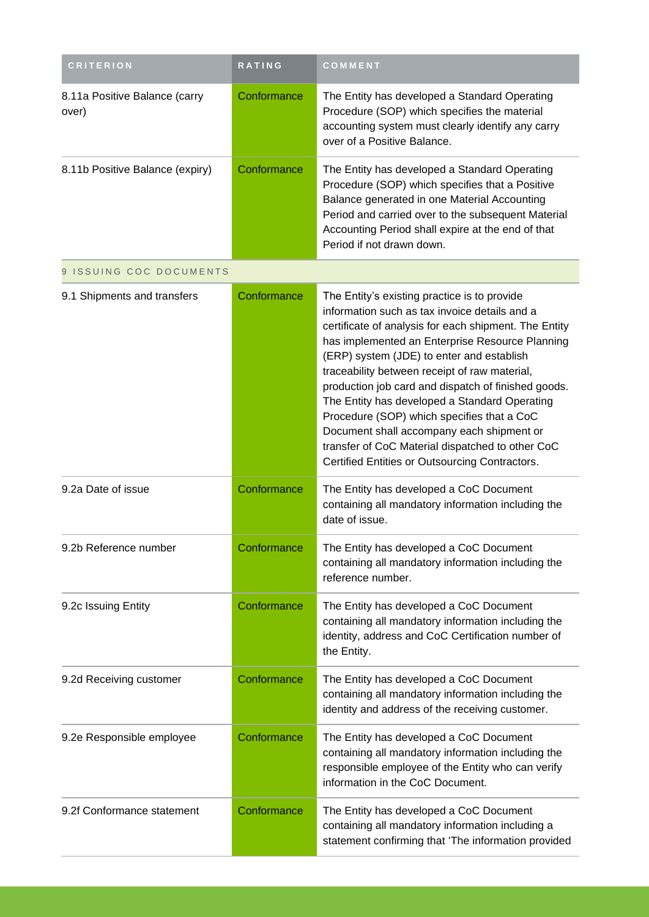| <b>CRITERION</b>                       | <b>RATING</b> | COMMENT                                                                                                                                                                                                                                                                                                                                                                                                                                                                                                                                                                                                          |
|----------------------------------------|---------------|------------------------------------------------------------------------------------------------------------------------------------------------------------------------------------------------------------------------------------------------------------------------------------------------------------------------------------------------------------------------------------------------------------------------------------------------------------------------------------------------------------------------------------------------------------------------------------------------------------------|
| 8.11a Positive Balance (carry<br>over) | Conformance   | The Entity has developed a Standard Operating<br>Procedure (SOP) which specifies the material<br>accounting system must clearly identify any carry<br>over of a Positive Balance.                                                                                                                                                                                                                                                                                                                                                                                                                                |
| 8.11b Positive Balance (expiry)        | Conformance   | The Entity has developed a Standard Operating<br>Procedure (SOP) which specifies that a Positive<br>Balance generated in one Material Accounting<br>Period and carried over to the subsequent Material<br>Accounting Period shall expire at the end of that<br>Period if not drawn down.                                                                                                                                                                                                                                                                                                                         |
| 9 ISSUING COC DOCUMENTS                |               |                                                                                                                                                                                                                                                                                                                                                                                                                                                                                                                                                                                                                  |
| 9.1 Shipments and transfers            | Conformance   | The Entity's existing practice is to provide<br>information such as tax invoice details and a<br>certificate of analysis for each shipment. The Entity<br>has implemented an Enterprise Resource Planning<br>(ERP) system (JDE) to enter and establish<br>traceability between receipt of raw material,<br>production job card and dispatch of finished goods.<br>The Entity has developed a Standard Operating<br>Procedure (SOP) which specifies that a CoC<br>Document shall accompany each shipment or<br>transfer of CoC Material dispatched to other CoC<br>Certified Entities or Outsourcing Contractors. |
| 9.2a Date of issue                     | Conformance   | The Entity has developed a CoC Document<br>containing all mandatory information including the<br>date of issue.                                                                                                                                                                                                                                                                                                                                                                                                                                                                                                  |
| 9.2b Reference number                  | Conformance   | The Entity has developed a CoC Document<br>containing all mandatory information including the<br>reference number.                                                                                                                                                                                                                                                                                                                                                                                                                                                                                               |
| 9.2c Issuing Entity                    | Conformance   | The Entity has developed a CoC Document<br>containing all mandatory information including the<br>identity, address and CoC Certification number of<br>the Entity.                                                                                                                                                                                                                                                                                                                                                                                                                                                |
| 9.2d Receiving customer                | Conformance   | The Entity has developed a CoC Document<br>containing all mandatory information including the<br>identity and address of the receiving customer.                                                                                                                                                                                                                                                                                                                                                                                                                                                                 |
| 9.2e Responsible employee              | Conformance   | The Entity has developed a CoC Document<br>containing all mandatory information including the<br>responsible employee of the Entity who can verify<br>information in the CoC Document.                                                                                                                                                                                                                                                                                                                                                                                                                           |
| 9.2f Conformance statement             | Conformance   | The Entity has developed a CoC Document<br>containing all mandatory information including a<br>statement confirming that 'The information provided                                                                                                                                                                                                                                                                                                                                                                                                                                                               |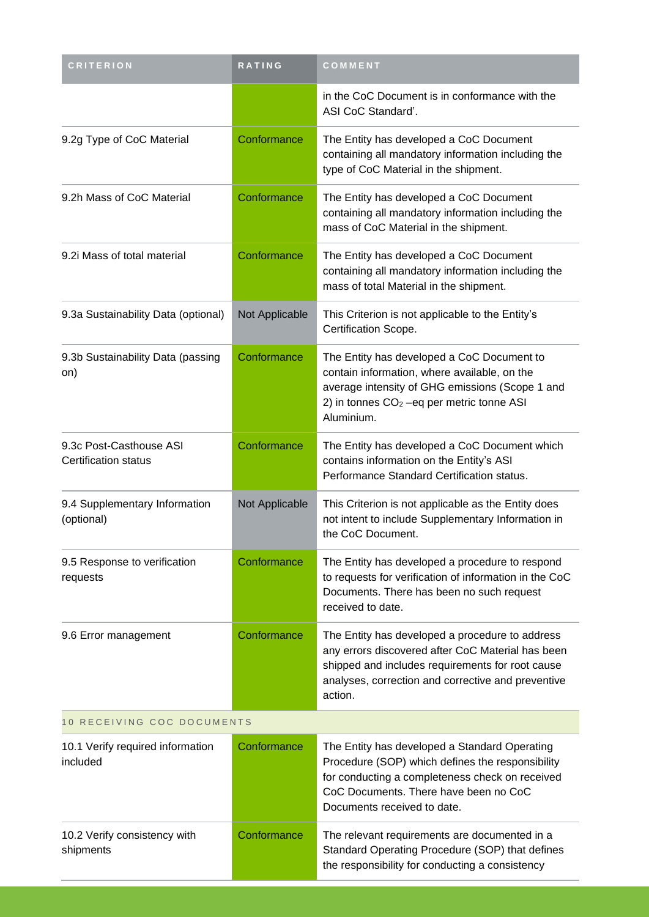| <b>CRITERION</b>                                | <b>RATING</b>  | COMMENT                                                                                                                                                                                                                      |  |
|-------------------------------------------------|----------------|------------------------------------------------------------------------------------------------------------------------------------------------------------------------------------------------------------------------------|--|
|                                                 |                | in the CoC Document is in conformance with the<br>ASI CoC Standard'.                                                                                                                                                         |  |
| 9.2g Type of CoC Material                       | Conformance    | The Entity has developed a CoC Document<br>containing all mandatory information including the<br>type of CoC Material in the shipment.                                                                                       |  |
| 9.2h Mass of CoC Material                       | Conformance    | The Entity has developed a CoC Document<br>containing all mandatory information including the<br>mass of CoC Material in the shipment.                                                                                       |  |
| 9.2i Mass of total material                     | Conformance    | The Entity has developed a CoC Document<br>containing all mandatory information including the<br>mass of total Material in the shipment.                                                                                     |  |
| 9.3a Sustainability Data (optional)             | Not Applicable | This Criterion is not applicable to the Entity's<br>Certification Scope.                                                                                                                                                     |  |
| 9.3b Sustainability Data (passing<br>on)        | Conformance    | The Entity has developed a CoC Document to<br>contain information, where available, on the<br>average intensity of GHG emissions (Scope 1 and<br>2) in tonnes $CO2 -eq$ per metric tonne ASI<br>Aluminium.                   |  |
| 9.3c Post-Casthouse ASI<br>Certification status | Conformance    | The Entity has developed a CoC Document which<br>contains information on the Entity's ASI<br>Performance Standard Certification status.                                                                                      |  |
| 9.4 Supplementary Information<br>(optional)     | Not Applicable | This Criterion is not applicable as the Entity does<br>not intent to include Supplementary Information in<br>the CoC Document.                                                                                               |  |
| 9.5 Response to verification<br>requests        | Conformance    | The Entity has developed a procedure to respond<br>to requests for verification of information in the CoC<br>Documents. There has been no such request<br>received to date.                                                  |  |
| 9.6 Error management                            | Conformance    | The Entity has developed a procedure to address<br>any errors discovered after CoC Material has been<br>shipped and includes requirements for root cause<br>analyses, correction and corrective and preventive<br>action.    |  |
| 10 RECEIVING COC DOCUMENTS                      |                |                                                                                                                                                                                                                              |  |
| 10.1 Verify required information<br>included    | Conformance    | The Entity has developed a Standard Operating<br>Procedure (SOP) which defines the responsibility<br>for conducting a completeness check on received<br>CoC Documents. There have been no CoC<br>Documents received to date. |  |
| 10.2 Verify consistency with<br>shipments       | Conformance    | The relevant requirements are documented in a<br>Standard Operating Procedure (SOP) that defines<br>the responsibility for conducting a consistency                                                                          |  |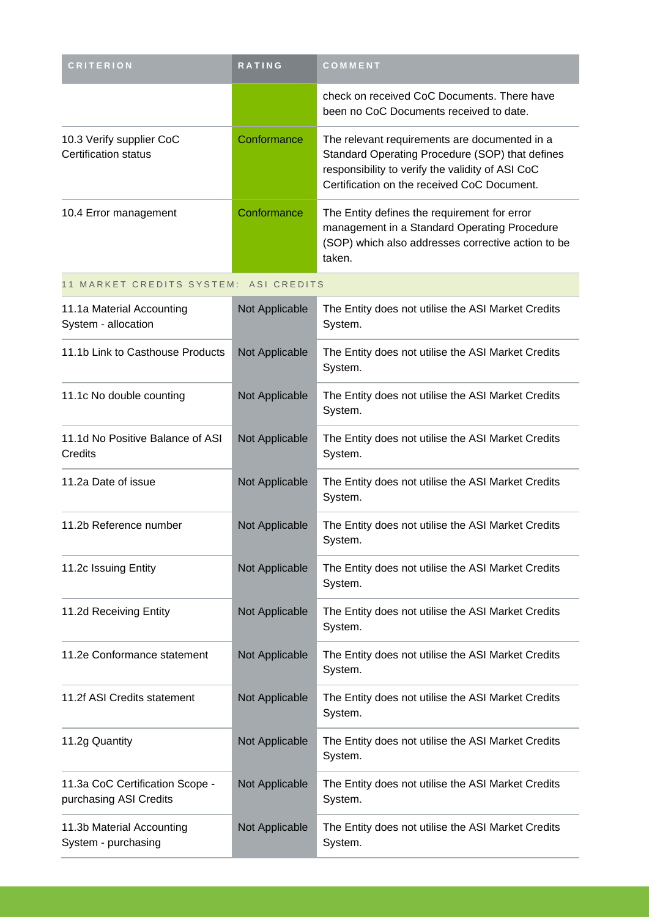| <b>CRITERION</b>                                 | <b>RATING</b> | COMMENT                                                                                                                                                                                             |
|--------------------------------------------------|---------------|-----------------------------------------------------------------------------------------------------------------------------------------------------------------------------------------------------|
|                                                  |               | check on received CoC Documents. There have<br>been no CoC Documents received to date.                                                                                                              |
| 10.3 Verify supplier CoC<br>Certification status | Conformance   | The relevant requirements are documented in a<br>Standard Operating Procedure (SOP) that defines<br>responsibility to verify the validity of ASI CoC<br>Certification on the received CoC Document. |
| 10.4 Error management                            | Conformance   | The Entity defines the requirement for error<br>management in a Standard Operating Procedure<br>(SOP) which also addresses corrective action to be<br>taken.                                        |

#### 11 MARKET CREDITS SYSTEM: ASI CREDITS

| 11.1a Material Accounting<br>System - allocation          | Not Applicable | The Entity does not utilise the ASI Market Credits<br>System. |
|-----------------------------------------------------------|----------------|---------------------------------------------------------------|
| 11.1b Link to Casthouse Products                          | Not Applicable | The Entity does not utilise the ASI Market Credits<br>System. |
| 11.1c No double counting                                  | Not Applicable | The Entity does not utilise the ASI Market Credits<br>System. |
| 11.1d No Positive Balance of ASI<br>Credits               | Not Applicable | The Entity does not utilise the ASI Market Credits<br>System. |
| 11.2a Date of issue                                       | Not Applicable | The Entity does not utilise the ASI Market Credits<br>System. |
| 11.2b Reference number                                    | Not Applicable | The Entity does not utilise the ASI Market Credits<br>System. |
| 11.2c Issuing Entity                                      | Not Applicable | The Entity does not utilise the ASI Market Credits<br>System. |
| 11.2d Receiving Entity                                    | Not Applicable | The Entity does not utilise the ASI Market Credits<br>System. |
| 11.2e Conformance statement                               | Not Applicable | The Entity does not utilise the ASI Market Credits<br>System. |
| 11.2f ASI Credits statement                               | Not Applicable | The Entity does not utilise the ASI Market Credits<br>System. |
| 11.2g Quantity                                            | Not Applicable | The Entity does not utilise the ASI Market Credits<br>System. |
| 11.3a CoC Certification Scope -<br>purchasing ASI Credits | Not Applicable | The Entity does not utilise the ASI Market Credits<br>System. |
| 11.3b Material Accounting<br>System - purchasing          | Not Applicable | The Entity does not utilise the ASI Market Credits<br>System. |